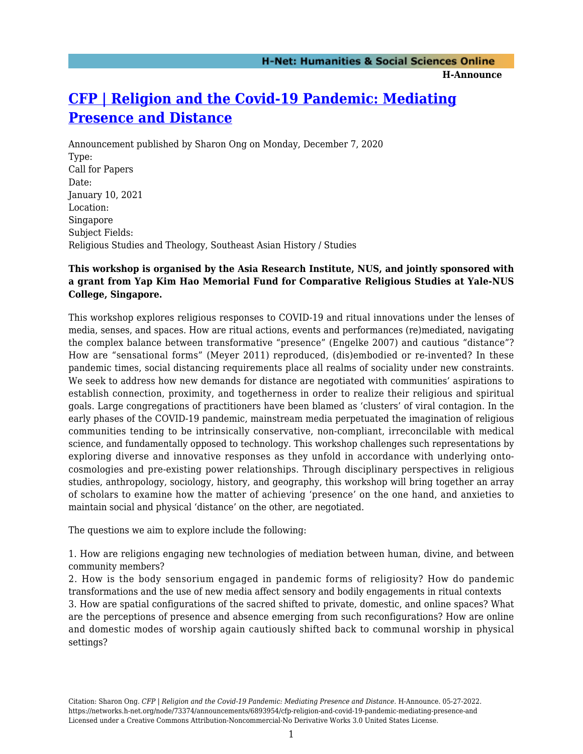# **[CFP | Religion and the Covid-19 Pandemic: Mediating](https://networks.h-net.org/node/73374/announcements/6893954/cfp-religion-and-covid-19-pandemic-mediating-presence-and) [Presence and Distance](https://networks.h-net.org/node/73374/announcements/6893954/cfp-religion-and-covid-19-pandemic-mediating-presence-and)**

Announcement published by Sharon Ong on Monday, December 7, 2020 Type: Call for Papers Date: January 10, 2021 Location: Singapore Subject Fields: Religious Studies and Theology, Southeast Asian History / Studies

## **This workshop is organised by the Asia Research Institute, NUS, and jointly sponsored with a grant from Yap Kim Hao Memorial Fund for Comparative Religious Studies at Yale-NUS College, Singapore.**

This workshop explores religious responses to COVID-19 and ritual innovations under the lenses of media, senses, and spaces. How are ritual actions, events and performances (re)mediated, navigating the complex balance between transformative "presence" (Engelke 2007) and cautious "distance"? How are "sensational forms" (Meyer 2011) reproduced, (dis)embodied or re-invented? In these pandemic times, social distancing requirements place all realms of sociality under new constraints. We seek to address how new demands for distance are negotiated with communities' aspirations to establish connection, proximity, and togetherness in order to realize their religious and spiritual goals. Large congregations of practitioners have been blamed as 'clusters' of viral contagion. In the early phases of the COVID-19 pandemic, mainstream media perpetuated the imagination of religious communities tending to be intrinsically conservative, non-compliant, irreconcilable with medical science, and fundamentally opposed to technology. This workshop challenges such representations by exploring diverse and innovative responses as they unfold in accordance with underlying ontocosmologies and pre-existing power relationships. Through disciplinary perspectives in religious studies, anthropology, sociology, history, and geography, this workshop will bring together an array of scholars to examine how the matter of achieving 'presence' on the one hand, and anxieties to maintain social and physical 'distance' on the other, are negotiated.

The questions we aim to explore include the following:

1. How are religions engaging new technologies of mediation between human, divine, and between community members?

2. How is the body sensorium engaged in pandemic forms of religiosity? How do pandemic transformations and the use of new media affect sensory and bodily engagements in ritual contexts

3. How are spatial configurations of the sacred shifted to private, domestic, and online spaces? What are the perceptions of presence and absence emerging from such reconfigurations? How are online and domestic modes of worship again cautiously shifted back to communal worship in physical settings?

Citation: Sharon Ong. *CFP | Religion and the Covid-19 Pandemic: Mediating Presence and Distance*. H-Announce. 05-27-2022. https://networks.h-net.org/node/73374/announcements/6893954/cfp-religion-and-covid-19-pandemic-mediating-presence-and Licensed under a Creative Commons Attribution-Noncommercial-No Derivative Works 3.0 United States License.